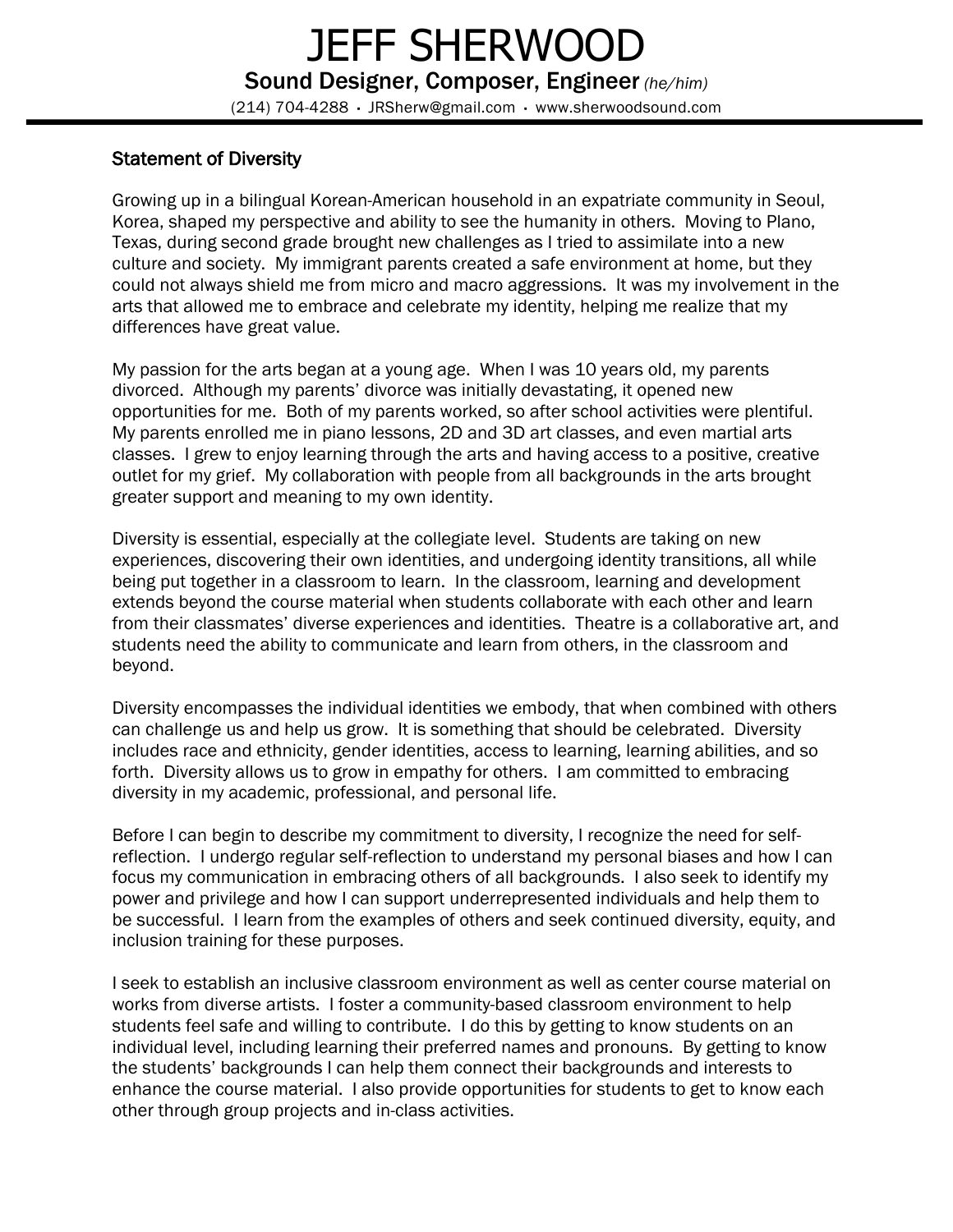## Statement of Diversity

Growing up in a bilingual Korean-American household in an expatriate community in Seoul, Korea, shaped my perspective and ability to see the humanity in others. Moving to Plano, Texas, during second grade brought new challenges as I tried to assimilate into a new culture and society. My immigrant parents created a safe environment at home, but they could not always shield me from micro and macro aggressions. It was my involvement in the arts that allowed me to embrace and celebrate my identity, helping me realize that my differences have great value.

My passion for the arts began at a young age. When I was 10 years old, my parents divorced. Although my parents' divorce was initially devastating, it opened new opportunities for me. Both of my parents worked, so after school activities were plentiful. My parents enrolled me in piano lessons, 2D and 3D art classes, and even martial arts classes. I grew to enjoy learning through the arts and having access to a positive, creative outlet for my grief. My collaboration with people from all backgrounds in the arts brought greater support and meaning to my own identity.

Diversity is essential, especially at the collegiate level. Students are taking on new experiences, discovering their own identities, and undergoing identity transitions, all while being put together in a classroom to learn. In the classroom, learning and development extends beyond the course material when students collaborate with each other and learn from their classmates' diverse experiences and identities. Theatre is a collaborative art, and students need the ability to communicate and learn from others, in the classroom and beyond.

Diversity encompasses the individual identities we embody, that when combined with others can challenge us and help us grow. It is something that should be celebrated. Diversity includes race and ethnicity, gender identities, access to learning, learning abilities, and so forth. Diversity allows us to grow in empathy for others. I am committed to embracing diversity in my academic, professional, and personal life.

Before I can begin to describe my commitment to diversity, I recognize the need for selfreflection. I undergo regular self-reflection to understand my personal biases and how I can focus my communication in embracing others of all backgrounds. I also seek to identify my power and privilege and how I can support underrepresented individuals and help them to be successful. I learn from the examples of others and seek continued diversity, equity, and inclusion training for these purposes.

I seek to establish an inclusive classroom environment as well as center course material on works from diverse artists. I foster a community-based classroom environment to help students feel safe and willing to contribute. I do this by getting to know students on an individual level, including learning their preferred names and pronouns. By getting to know the students' backgrounds I can help them connect their backgrounds and interests to enhance the course material. I also provide opportunities for students to get to know each other through group projects and in-class activities.